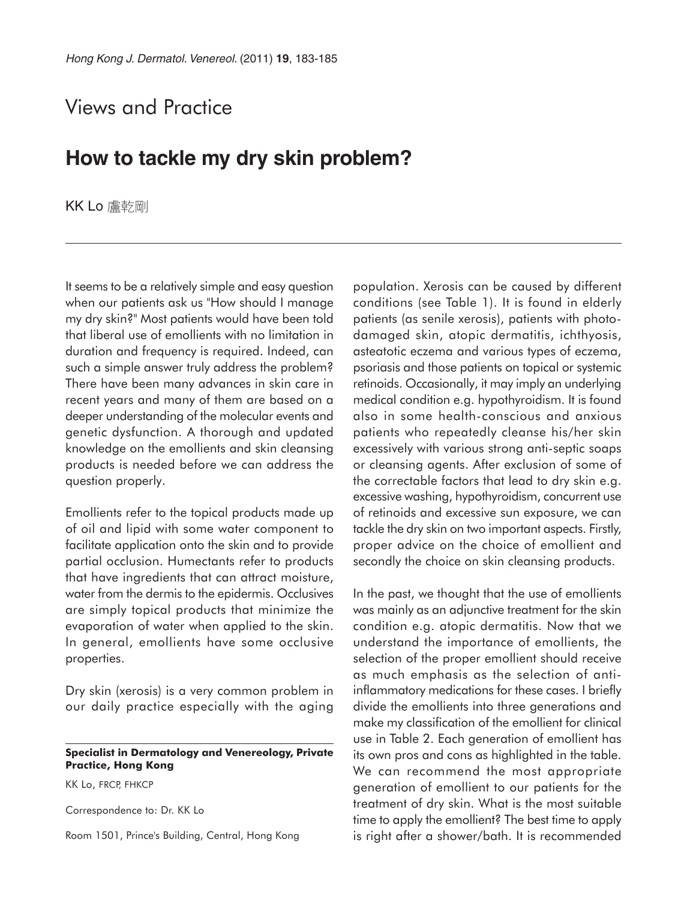## Views and Practice

## **How to tackle my dry skin problem?**

KK Lo 盧乾剛

It seems to be a relatively simple and easy question when our patients ask us "How should I manage my dry skin?" Most patients would have been told that liberal use of emollients with no limitation in duration and frequency is required. Indeed, can such a simple answer truly address the problem? There have been many advances in skin care in recent years and many of them are based on a deeper understanding of the molecular events and genetic dysfunction. A thorough and updated knowledge on the emollients and skin cleansing products is needed before we can address the question properly.

Emollients refer to the topical products made up of oil and lipid with some water component to facilitate application onto the skin and to provide partial occlusion. Humectants refer to products that have ingredients that can attract moisture, water from the dermis to the epidermis. Occlusives are simply topical products that minimize the evaporation of water when applied to the skin. In general, emollients have some occlusive properties.

Dry skin (xerosis) is a very common problem in our daily practice especially with the aging

## **Specialist in Dermatology and Venereology, Private Practice, Hong Kong**

KK Lo, FRCP, FHKCP

Correspondence to: Dr. KK Lo

Room 1501, Prince's Building, Central, Hong Kong

population. Xerosis can be caused by different conditions (see Table 1). It is found in elderly patients (as senile xerosis), patients with photodamaged skin, atopic dermatitis, ichthyosis, asteatotic eczema and various types of eczema, psoriasis and those patients on topical or systemic retinoids. Occasionally, it may imply an underlying medical condition e.g. hypothyroidism. It is found also in some health-conscious and anxious patients who repeatedly cleanse his/her skin excessively with various strong anti-septic soaps or cleansing agents. After exclusion of some of the correctable factors that lead to dry skin e.g. excessive washing, hypothyroidism, concurrent use of retinoids and excessive sun exposure, we can tackle the dry skin on two important aspects. Firstly, proper advice on the choice of emollient and secondly the choice on skin cleansing products.

In the past, we thought that the use of emollients was mainly as an adjunctive treatment for the skin condition e.g. atopic dermatitis. Now that we understand the importance of emollients, the selection of the proper emollient should receive as much emphasis as the selection of antiinflammatory medications for these cases. I briefly divide the emollients into three generations and make my classification of the emollient for clinical use in Table 2. Each generation of emollient has its own pros and cons as highlighted in the table. We can recommend the most appropriate generation of emollient to our patients for the treatment of dry skin. What is the most suitable time to apply the emollient? The best time to apply is right after a shower/bath. It is recommended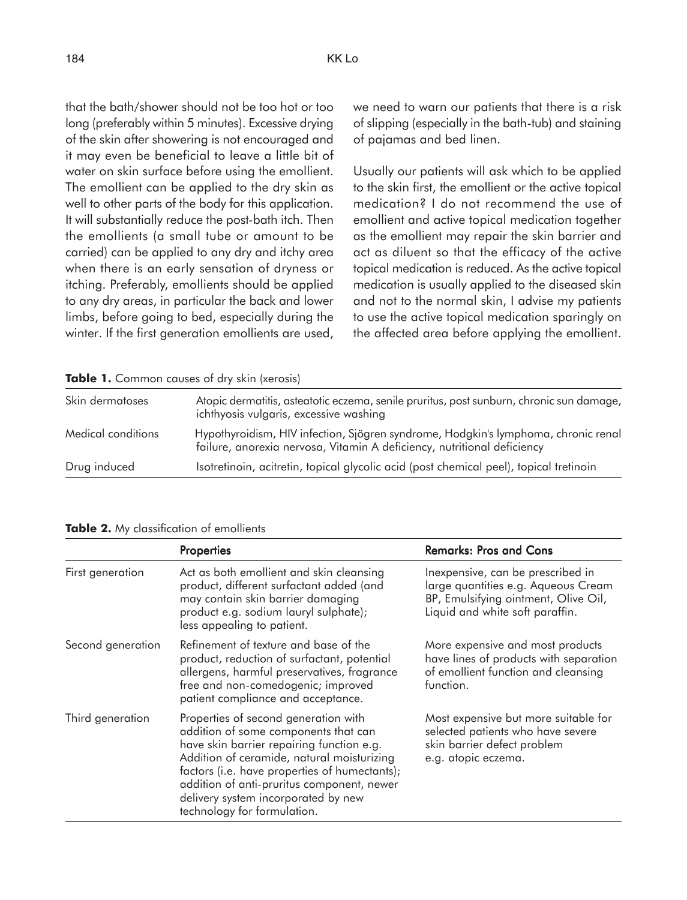that the bath/shower should not be too hot or too long (preferably within 5 minutes). Excessive drying of the skin after showering is not encouraged and it may even be beneficial to leave a little bit of water on skin surface before using the emollient. The emollient can be applied to the dry skin as well to other parts of the body for this application. It will substantially reduce the post-bath itch. Then the emollients (a small tube or amount to be carried) can be applied to any dry and itchy area when there is an early sensation of dryness or itching. Preferably, emollients should be applied to any dry areas, in particular the back and lower limbs, before going to bed, especially during the winter. If the first generation emollients are used, we need to warn our patients that there is a risk of slipping (especially in the bath-tub) and staining of pajamas and bed linen.

Usually our patients will ask which to be applied to the skin first, the emollient or the active topical medication? I do not recommend the use of emollient and active topical medication together as the emollient may repair the skin barrier and act as diluent so that the efficacy of the active topical medication is reduced. As the active topical medication is usually applied to the diseased skin and not to the normal skin, I advise my patients to use the active topical medication sparingly on the affected area before applying the emollient.

| <b>Table 1.</b> Common causes of dry skin (xerosis) |                                                                                                                                                               |  |  |  |
|-----------------------------------------------------|---------------------------------------------------------------------------------------------------------------------------------------------------------------|--|--|--|
| Skin dermatoses                                     | Atopic dermatitis, asteatotic eczema, senile pruritus, post sunburn, chronic sun damage,<br>ichthyosis vulgaris, excessive washing                            |  |  |  |
| Medical conditions                                  | Hypothyroidism, HIV infection, Sjögren syndrome, Hodgkin's lymphoma, chronic renal<br>failure, anorexia nervosa, Vitamin A deficiency, nutritional deficiency |  |  |  |
| Drug induced                                        | Isotretinoin, acitretin, topical glycolic acid (post chemical peel), topical tretinoin                                                                        |  |  |  |

|  |  | Table 1. Common causes of dry skin (xerosis) |  |  |  |  |  |  |
|--|--|----------------------------------------------|--|--|--|--|--|--|
|--|--|----------------------------------------------|--|--|--|--|--|--|

|  |  | Table 2. My classification of emollients |  |  |
|--|--|------------------------------------------|--|--|
|--|--|------------------------------------------|--|--|

|                   | <b>Properties</b>                                                                                                                                                                                                                                                                                                                            | <b>Remarks: Pros and Cons</b>                                                                                                                       |  |  |
|-------------------|----------------------------------------------------------------------------------------------------------------------------------------------------------------------------------------------------------------------------------------------------------------------------------------------------------------------------------------------|-----------------------------------------------------------------------------------------------------------------------------------------------------|--|--|
| First generation  | Act as both emollient and skin cleansing<br>product, different surfactant added (and<br>may contain skin barrier damaging<br>product e.g. sodium lauryl sulphate);<br>less appealing to patient.                                                                                                                                             | Inexpensive, can be prescribed in<br>large quantities e.g. Aqueous Cream<br>BP, Emulsifying ointment, Olive Oil,<br>Liquid and white soft paraffin. |  |  |
| Second generation | Refinement of texture and base of the<br>product, reduction of surfactant, potential<br>allergens, harmful preservatives, fragrance<br>free and non-comedogenic; improved<br>patient compliance and acceptance.                                                                                                                              | More expensive and most products<br>have lines of products with separation<br>of emollient function and cleansing<br>function.                      |  |  |
| Third generation  | Properties of second generation with<br>addition of some components that can<br>have skin barrier repairing function e.g.<br>Addition of ceramide, natural moisturizing<br>factors (i.e. have properties of humectants);<br>addition of anti-pruritus component, newer<br>delivery system incorporated by new<br>technology for formulation. | Most expensive but more suitable for<br>selected patients who have severe<br>skin barrier defect problem<br>e.g. atopic eczema.                     |  |  |